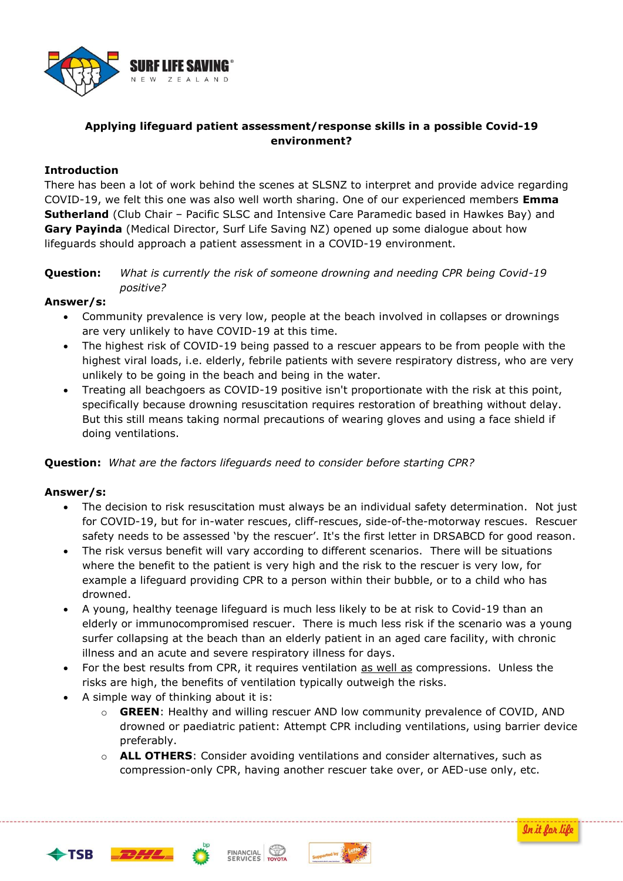

# **Applying lifeguard patient assessment/response skills in a possible Covid-19 environment?**

## **Introduction**

There has been a lot of work behind the scenes at SLSNZ to interpret and provide advice regarding COVID-19, we felt this one was also well worth sharing. One of our experienced members **Emma Sutherland** (Club Chair – Pacific SLSC and Intensive Care Paramedic based in Hawkes Bay) and **Gary Payinda** (Medical Director, Surf Life Saving NZ) opened up some dialogue about how lifeguards should approach a patient assessment in a COVID-19 environment.

#### **Question:** *What is currently the risk of someone drowning and needing CPR being Covid-19 positive?*

## **Answer/s:**

- Community prevalence is very low, people at the beach involved in collapses or drownings are very unlikely to have COVID-19 at this time.
- The highest risk of COVID-19 being passed to a rescuer appears to be from people with the highest viral loads, i.e. elderly, febrile patients with severe respiratory distress, who are very unlikely to be going in the beach and being in the water.
- Treating all beachgoers as COVID-19 positive isn't proportionate with the risk at this point, specifically because drowning resuscitation requires restoration of breathing without delay. But this still means taking normal precautions of wearing gloves and using a face shield if doing ventilations.

#### **Question:** *What are the factors lifeguards need to consider before starting CPR?*

#### **Answer/s:**

- The decision to risk resuscitation must always be an individual safety determination. Not just for COVID-19, but for in-water rescues, cliff-rescues, side-of-the-motorway rescues. Rescuer safety needs to be assessed 'by the rescuer'. It's the first letter in DRSABCD for good reason.
- The risk versus benefit will vary according to different scenarios. There will be situations where the benefit to the patient is very high and the risk to the rescuer is very low, for example a lifeguard providing CPR to a person within their bubble, or to a child who has drowned.
- A young, healthy teenage lifeguard is much less likely to be at risk to Covid-19 than an elderly or immunocompromised rescuer. There is much less risk if the scenario was a young surfer collapsing at the beach than an elderly patient in an aged care facility, with chronic illness and an acute and severe respiratory illness for days.
- For the best results from CPR, it requires ventilation as well as compressions. Unless the risks are high, the benefits of ventilation typically outweigh the risks.
- A simple way of thinking about it is:
	- o **GREEN**: Healthy and willing rescuer AND low community prevalence of COVID, AND drowned or paediatric patient: Attempt CPR including ventilations, using barrier device preferably.
	- o **ALL OTHERS**: Consider avoiding ventilations and consider alternatives, such as compression-only CPR, having another rescuer take over, or AED-use only, etc.